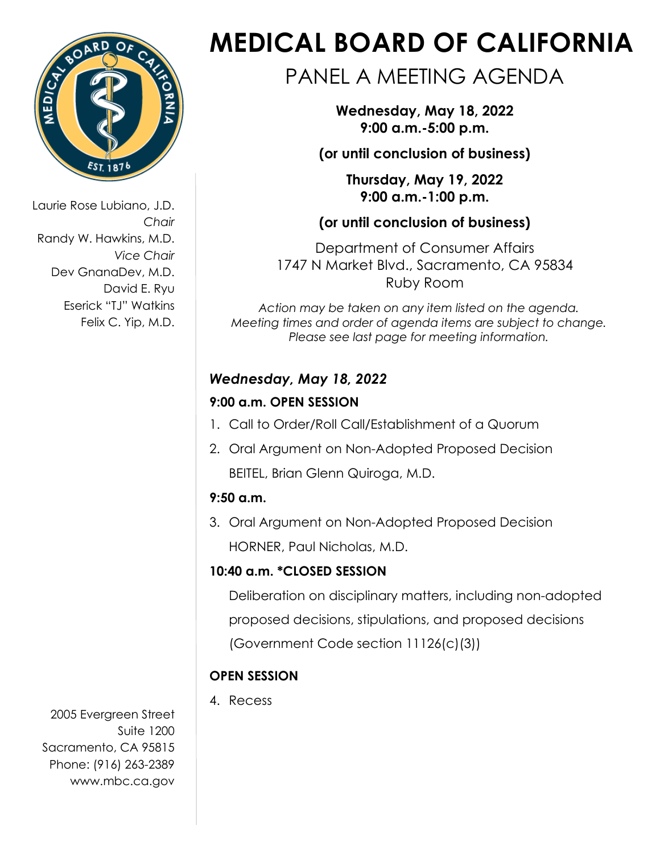

Laurie Rose Lubiano, J.D. *Chair* Randy W. Hawkins, M.D. *Vice Chair*  Dev GnanaDev, M.D. David E. Ryu Eserick "TJ" Watkins Felix C. Yip, M.D.

2005 Evergreen Street Suite 1200 Sacramento, CA 95815 Phone: (916) 263-2389 [www.mbc.ca.gov](http://www.mbc.ca.gov/)

# **MEDICAL BOARD OF CALIFORNIA**

# PANEL A MEETING AGENDA

**Wednesday, May 18, 2022 9:00 a.m.-5:00 p.m.**

**(or until conclusion of business)**

**Thursday, May 19, 2022 9:00 a.m.-1:00 p.m.**

**(or until conclusion of business)**

Department of Consumer Affairs 1747 N Market Blvd., Sacramento, CA 95834 Ruby Room

*Action may be taken on any item listed on the agenda. Meeting times and order of agenda items are subject to change. Please see last page for meeting information.* 

## *Wednesday, May 18, 2022*

### **9:00 a.m. OPEN SESSION**

- 1. Call to Order/Roll Call/Establishment of a Quorum
- 2. Oral Argument on Non-Adopted Proposed Decision BEITEL, Brian Glenn Quiroga, M.D.

# **9:50 a.m.**

3. Oral Argument on Non-Adopted Proposed Decision HORNER, Paul Nicholas, M.D.

# **10:40 a.m. \*CLOSED SESSION**

Deliberation on disciplinary matters, including non-adopted proposed decisions, stipulations, and proposed decisions (Government Code section 11126(c)(3))

# **OPEN SESSION**

4. Recess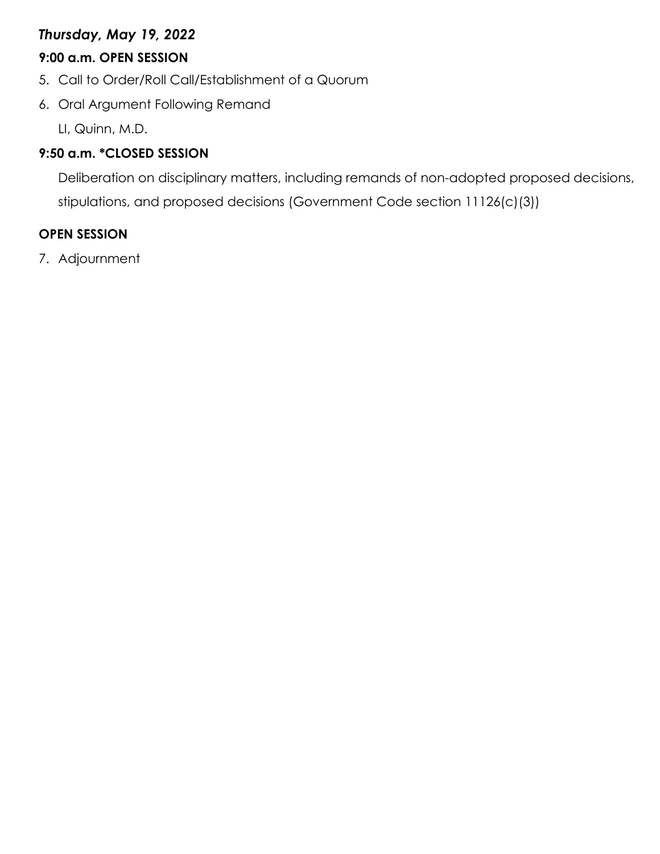#### *Thursday, May 19, 2022*

#### **9:00 a.m. OPEN SESSION**

- 5. Call to Order/Roll Call/Establishment of a Quorum
- 6. Oral Argument Following Remand

LI, Quinn, M.D.

#### **9:50 a.m. \*CLOSED SESSION**

Deliberation on disciplinary matters, including remands of non-adopted proposed decisions, stipulations, and proposed decisions (Government Code section 11126(c)(3))

#### **OPEN SESSION**

7. Adjournment